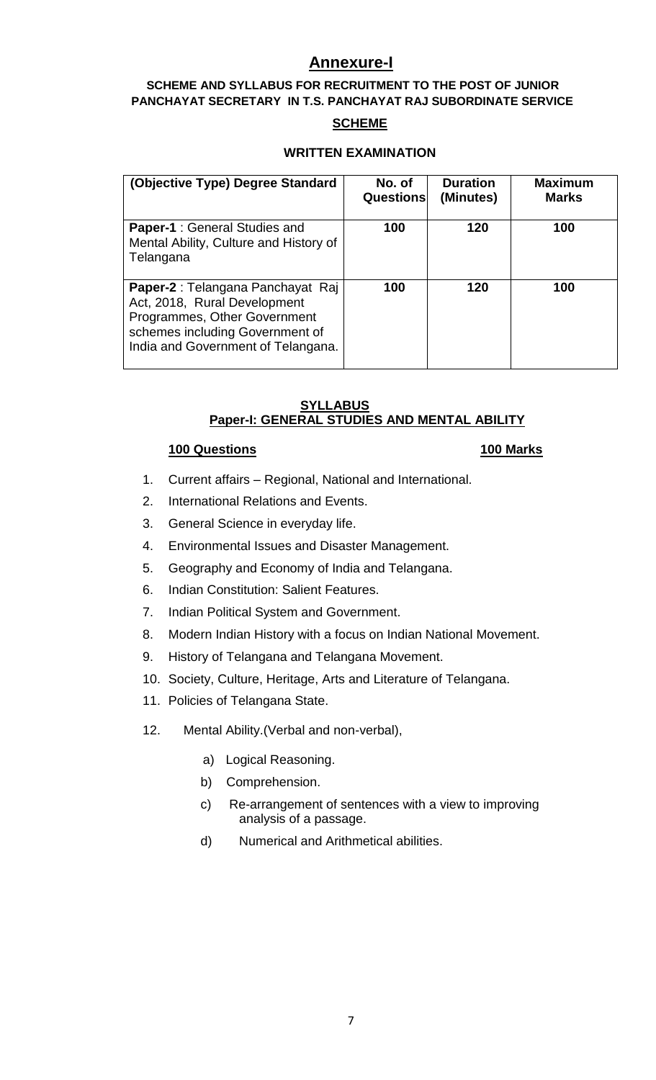# **Annexure-I**

# **SCHEME AND SYLLABUS FOR RECRUITMENT TO THE POST OF JUNIOR PANCHAYAT SECRETARY IN T.S. PANCHAYAT RAJ SUBORDINATE SERVICE**

# **SCHEME**

## **WRITTEN EXAMINATION**

| (Objective Type) Degree Standard                                                                                                                                           | No. of<br>Questions | <b>Duration</b><br>(Minutes) | <b>Maximum</b><br><b>Marks</b> |
|----------------------------------------------------------------------------------------------------------------------------------------------------------------------------|---------------------|------------------------------|--------------------------------|
| <b>Paper-1: General Studies and</b><br>Mental Ability, Culture and History of<br>Telangana                                                                                 | 100                 | 120                          | 100                            |
| Paper-2 : Telangana Panchayat Raj<br>Act, 2018, Rural Development<br>Programmes, Other Government<br>schemes including Government of<br>India and Government of Telangana. | 100                 | 120                          | 100                            |

## **SYLLABUS Paper-I: GENERAL STUDIES AND MENTAL ABILITY**

# **100 Questions 100 Marks**

- 1. Current affairs Regional, National and International.
- 2. International Relations and Events.
- 3. General Science in everyday life.
- 4. Environmental Issues and Disaster Management.
- 5. Geography and Economy of India and Telangana.
- 6. Indian Constitution: Salient Features.
- 7. Indian Political System and Government.
- 8. Modern Indian History with a focus on Indian National Movement.
- 9. History of Telangana and Telangana Movement.
- 10. Society, Culture, Heritage, Arts and Literature of Telangana.
- 11. Policies of Telangana State.
- 12. Mental Ability.(Verbal and non-verbal),
	- a) Logical Reasoning.
	- b) Comprehension.
	- c) Re-arrangement of sentences with a view to improving analysis of a passage.
	- d) Numerical and Arithmetical abilities.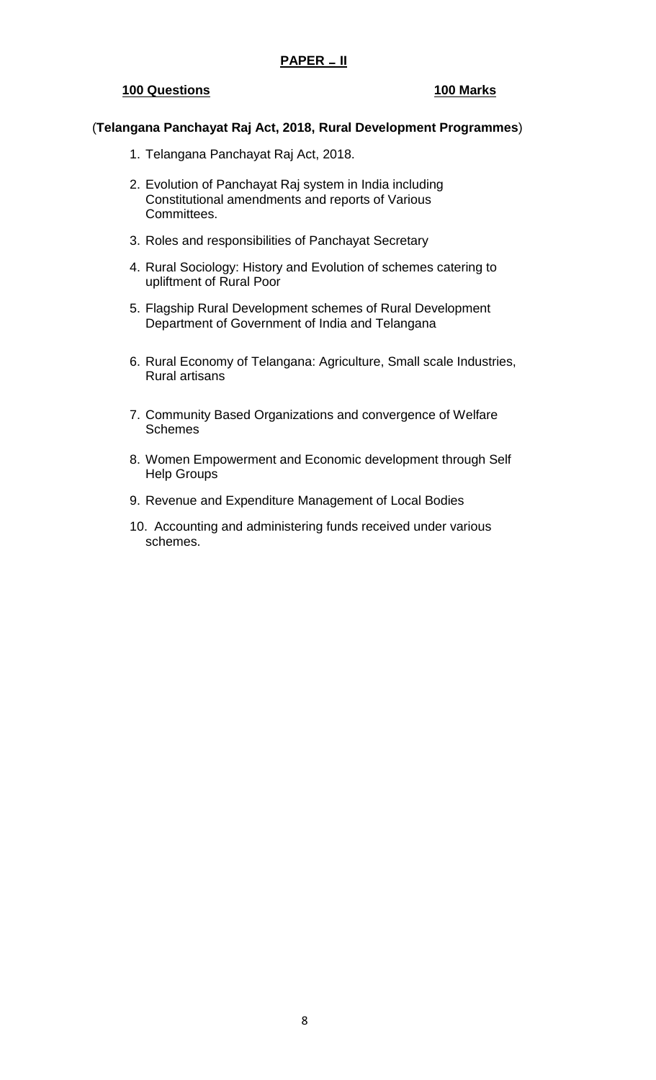## **PAPER \_ II**

#### **100 Questions 100 Marks**

#### (**Telangana Panchayat Raj Act, 2018, Rural Development Programmes**)

- 1. Telangana Panchayat Raj Act, 2018.
- 2. Evolution of Panchayat Raj system in India including Constitutional amendments and reports of Various Committees.
- 3. Roles and responsibilities of Panchayat Secretary
- 4. Rural Sociology: History and Evolution of schemes catering to upliftment of Rural Poor
- 5. Flagship Rural Development schemes of Rural Development Department of Government of India and Telangana
- 6. Rural Economy of Telangana: Agriculture, Small scale Industries, Rural artisans
- 7. Community Based Organizations and convergence of Welfare **Schemes**
- 8. Women Empowerment and Economic development through Self Help Groups
- 9. Revenue and Expenditure Management of Local Bodies
- 10. Accounting and administering funds received under various schemes.